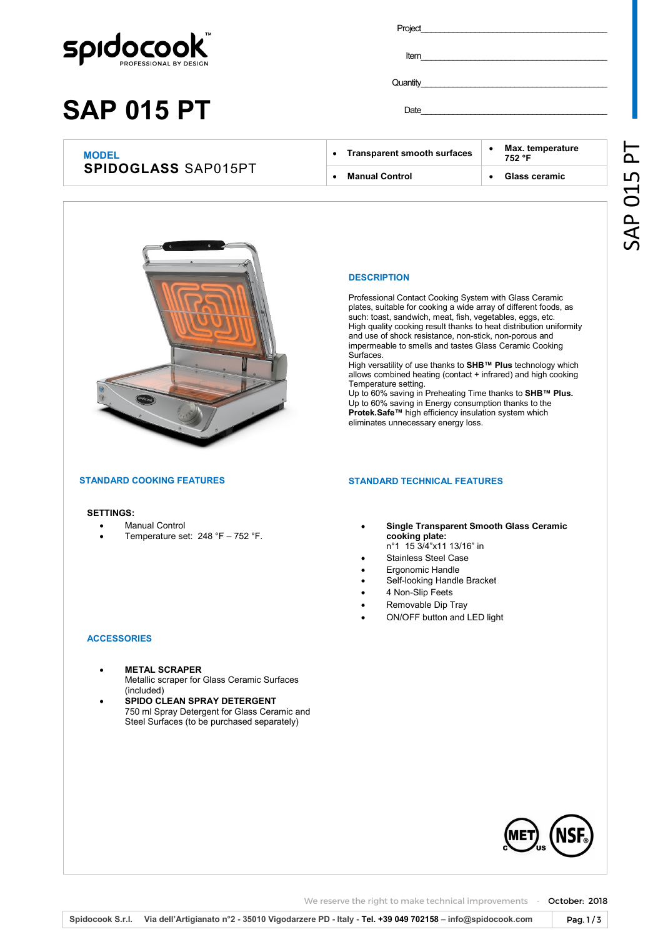

# **SAP 015 PT**

Project\_ Item \_\_\_\_\_\_\_\_\_\_\_\_\_\_\_\_\_\_\_\_\_\_\_\_\_\_\_\_\_\_\_\_\_\_\_\_\_\_\_\_\_\_\_

Date \_\_\_\_\_\_\_\_\_\_\_\_\_\_\_\_\_\_\_\_\_\_\_\_\_\_\_\_\_\_\_\_\_\_\_\_\_\_\_\_\_\_\_

Quantity

| <b>SPIDOGLASS SAP015PT</b> | <b>Manual Control</b>              | Glass ceramic              |
|----------------------------|------------------------------------|----------------------------|
| <b>MODEL</b>               | <b>Transparent smooth surfaces</b> | Max. temperature<br>752 °F |



#### **DESCRIPTION**

Professional Contact Cooking System with Glass Ceramic plates, suitable for cooking a wide array of different foods, as such: toast, sandwich, meat, fish, vegetables, eggs, etc. High quality cooking result thanks to heat distribution uniformity and use of shock resistance, non-stick, non-porous and impermeable to smells and tastes Glass Ceramic Cooking Surfaces.

High versatility of use thanks to **SHB™ Plus** technology which allows combined heating (contact + infrared) and high cooking Temperature setting.

Up to 60% saving in Preheating Time thanks to **SHB™ Plus.**  Up to 60% saving in Energy consumption thanks to the **Protek.Safe™** high efficiency insulation system which eliminates unnecessary energy loss.

#### **STANDARD TECHNICAL FEATURES**

- **Single Transparent Smooth Glass Ceramic cooking plate:** 
	- n°1 15 3/4"x11 13/16" in
- Stainless Steel Case
- Ergonomic Handle
- Self-looking Handle Bracket
- 4 Non-Slip Feets • Removable Dip Tray
- ON/OFF button and LED light

#### **ACCESSORIES**

**SETTINGS:**

**STANDARD COOKING FEATURES**

• Manual Control

• **METAL SCRAPER**  Metallic scraper for Glass Ceramic Surfaces (included)

• Temperature set: 248 °F – 752 °F.

• **SPIDO CLEAN SPRAY DETERGENT**  750 ml Spray Detergent for Glass Ceramic and Steel Surfaces (to be purchased separately)

We reserve the right to make technical improvements - October: 2018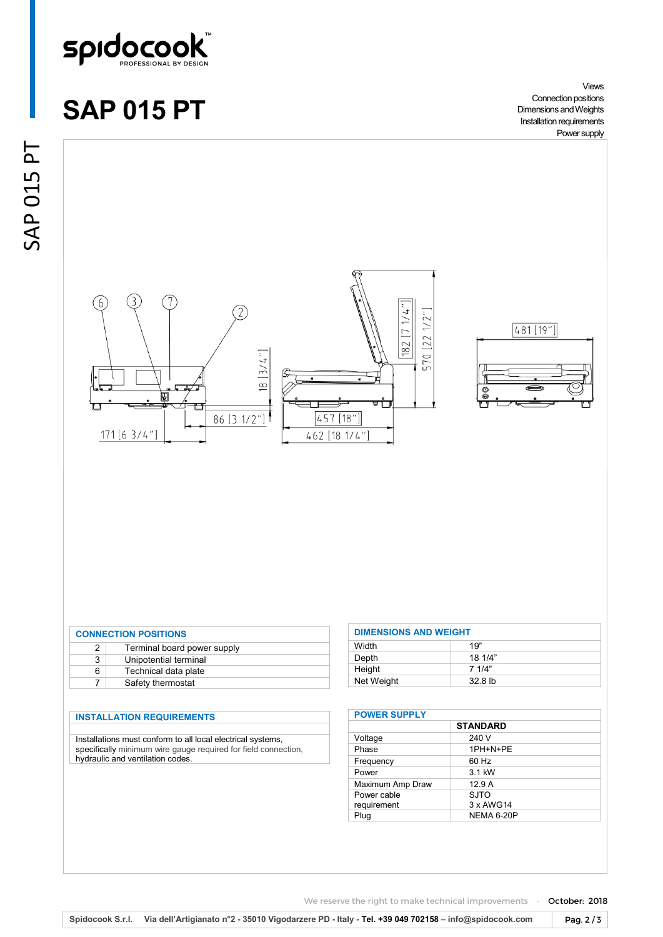

### **SAP 015 PT**

Views Connection positions Dimensions and Weights Installation requirements Power supply





| <b>CONNECTION POSITIONS</b> |                             |  |  |
|-----------------------------|-----------------------------|--|--|
| 2                           | Terminal board power supply |  |  |
| 3                           | Unipotential terminal       |  |  |
| 6                           | Technical data plate        |  |  |
|                             | Safety thermostat           |  |  |

### **INSTALLATION REQUIREMENTS**

Installations must conform to all local electrical systems, specifically minimum wire gauge required for field connection, hydraulic and ventilation codes.

| <b>DIMENSIONS AND WEIGHT</b> |                  |
|------------------------------|------------------|
| Width                        | 19"              |
| Depth                        | 181/4"           |
| Height                       | 7 1/4"           |
| Net Weight                   | 328 <sub>h</sub> |

| <b>POWER SUPPLY</b> |                   |  |
|---------------------|-------------------|--|
|                     | <b>STANDARD</b>   |  |
| Voltage             | 240 V             |  |
| Phase               | 1PH+N+PE          |  |
| Frequency           | 60 Hz             |  |
| Power               | 3.1 kW            |  |
| Maximum Amp Draw    | 12.9A             |  |
| Power cable         | SJTO              |  |
| requirement         | 3 x AWG14         |  |
| Plug                | <b>NEMA 6-20P</b> |  |

We reserve the right to make technical improvements - October: 2018